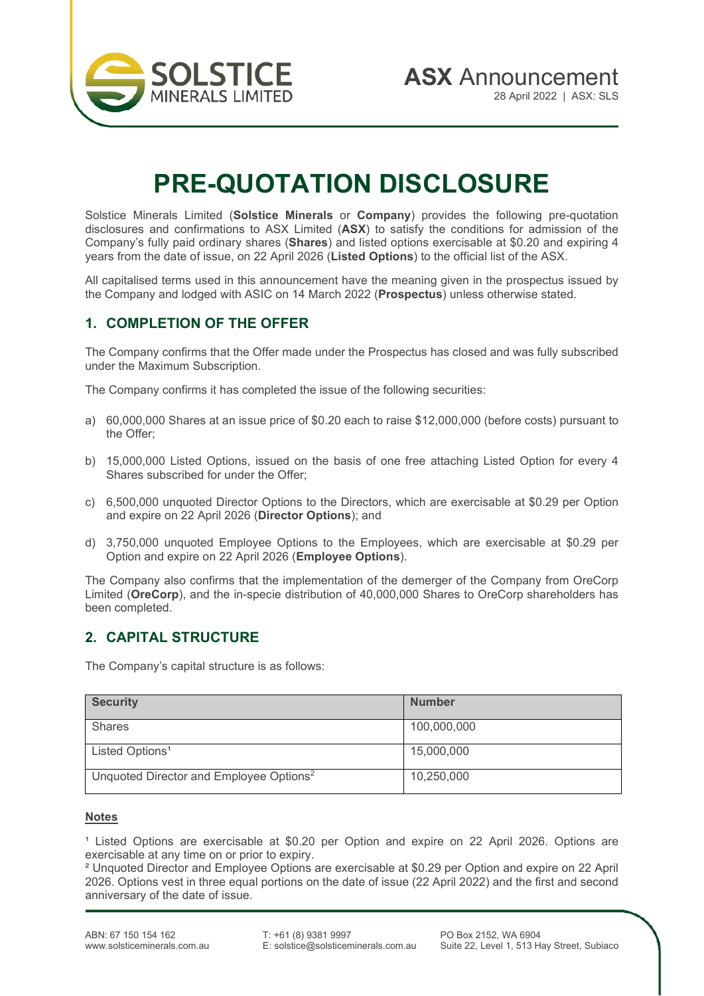

# **PRE-QUOTATION DISCLOSURE**

Solstice Minerals Limited (**Solstice Minerals** or **Company**) provides the following pre-quotation disclosures and confirmations to ASX Limited (**ASX**) to satisfy the conditions for admission of the Company's fully paid ordinary shares (**Shares**) and listed options exercisable at \$0.20 and expiring 4 years from the date of issue, on 22 April 2026 (**Listed Options**) to the official list of the ASX.

All capitalised terms used in this announcement have the meaning given in the prospectus issued by the Company and lodged with ASIC on 14 March 2022 (**Prospectus**) unless otherwise stated.

## **1. COMPLETION OF THE OFFER**

The Company confirms that the Offer made under the Prospectus has closed and was fully subscribed under the Maximum Subscription.

The Company confirms it has completed the issue of the following securities:

- a) 60,000,000 Shares at an issue price of \$0.20 each to raise \$12,000,000 (before costs) pursuant to the Offer;
- b) 15,000,000 Listed Options, issued on the basis of one free attaching Listed Option for every 4 Shares subscribed for under the Offer;
- c) 6,500,000 unquoted Director Options to the Directors, which are exercisable at \$0.29 per Option and expire on 22 April 2026 (**Director Options**); and
- d) 3,750,000 unquoted Employee Options to the Employees, which are exercisable at \$0.29 per Option and expire on 22 April 2026 (**Employee Options**).

The Company also confirms that the implementation of the demerger of the Company from OreCorp Limited (**OreCorp**), and the in-specie distribution of 40,000,000 Shares to OreCorp shareholders has been completed.

## **2. CAPITAL STRUCTURE**

The Company's capital structure is as follows:

| <b>Security</b>                                     | <b>Number</b> |
|-----------------------------------------------------|---------------|
| <b>Shares</b>                                       | 100,000,000   |
| Listed Options <sup>1</sup>                         | 15,000,000    |
| Unquoted Director and Employee Options <sup>2</sup> | 10,250,000    |

#### **Notes**

<sup>1</sup> Listed Options are exercisable at \$0.20 per Option and expire on 22 April 2026. Options are exercisable at any time on or prior to expiry.

² Unquoted Director and Employee Options are exercisable at \$0.29 per Option and expire on 22 April 2026. Options vest in three equal portions on the date of issue (22 April 2022) and the first and second anniversary of the date of issue.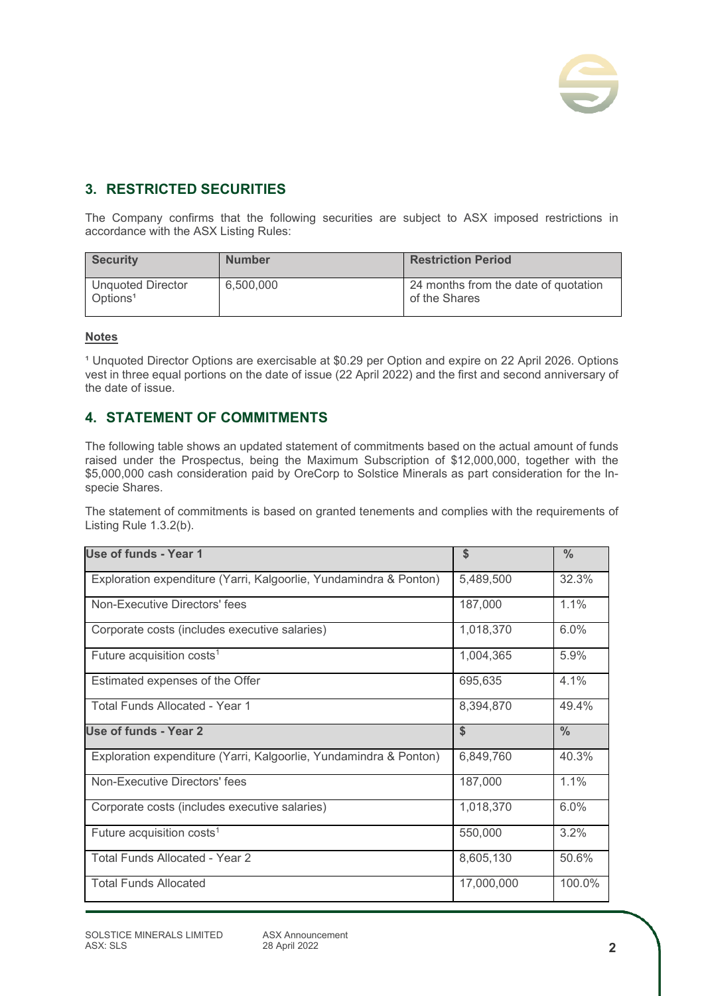

# **3. RESTRICTED SECURITIES**

The Company confirms that the following securities are subject to ASX imposed restrictions in accordance with the ASX Listing Rules:

| <b>Security</b>                           | <b>Number</b> | <b>Restriction Period</b>                             |
|-------------------------------------------|---------------|-------------------------------------------------------|
| Unguoted Director<br>Options <sup>1</sup> | 6.500.000     | 24 months from the date of quotation<br>of the Shares |

#### **Notes**

<sup>1</sup> Unquoted Director Options are exercisable at \$0.29 per Option and expire on 22 April 2026. Options vest in three equal portions on the date of issue (22 April 2022) and the first and second anniversary of the date of issue.

## **4. STATEMENT OF COMMITMENTS**

The following table shows an updated statement of commitments based on the actual amount of funds raised under the Prospectus, being the Maximum Subscription of \$12,000,000, together with the \$5,000,000 cash consideration paid by OreCorp to Solstice Minerals as part consideration for the Inspecie Shares.

The statement of commitments is based on granted tenements and complies with the requirements of Listing Rule 1.3.2(b).

| Use of funds - Year 1                                             | \$            | $\frac{0}{0}$ |
|-------------------------------------------------------------------|---------------|---------------|
| Exploration expenditure (Yarri, Kalgoorlie, Yundamindra & Ponton) | 5,489,500     | 32.3%         |
| Non-Executive Directors' fees                                     | 187,000       | 1.1%          |
| Corporate costs (includes executive salaries)                     | 1,018,370     | 6.0%          |
| Future acquisition costs <sup>1</sup>                             | 1,004,365     | 5.9%          |
| Estimated expenses of the Offer                                   | 695,635       | 4.1%          |
| Total Funds Allocated - Year 1                                    | 8,394,870     | 49.4%         |
| Use of funds - Year 2                                             | $\mathsf{\$}$ | $\frac{0}{0}$ |
| Exploration expenditure (Yarri, Kalgoorlie, Yundamindra & Ponton) | 6,849,760     | 40.3%         |
| Non-Executive Directors' fees                                     | 187,000       | 1.1%          |
| Corporate costs (includes executive salaries)                     | 1,018,370     | 6.0%          |
| Future acquisition costs <sup>1</sup>                             | 550,000       | 3.2%          |
| <b>Total Funds Allocated - Year 2</b>                             | 8,605,130     | 50.6%         |
|                                                                   |               |               |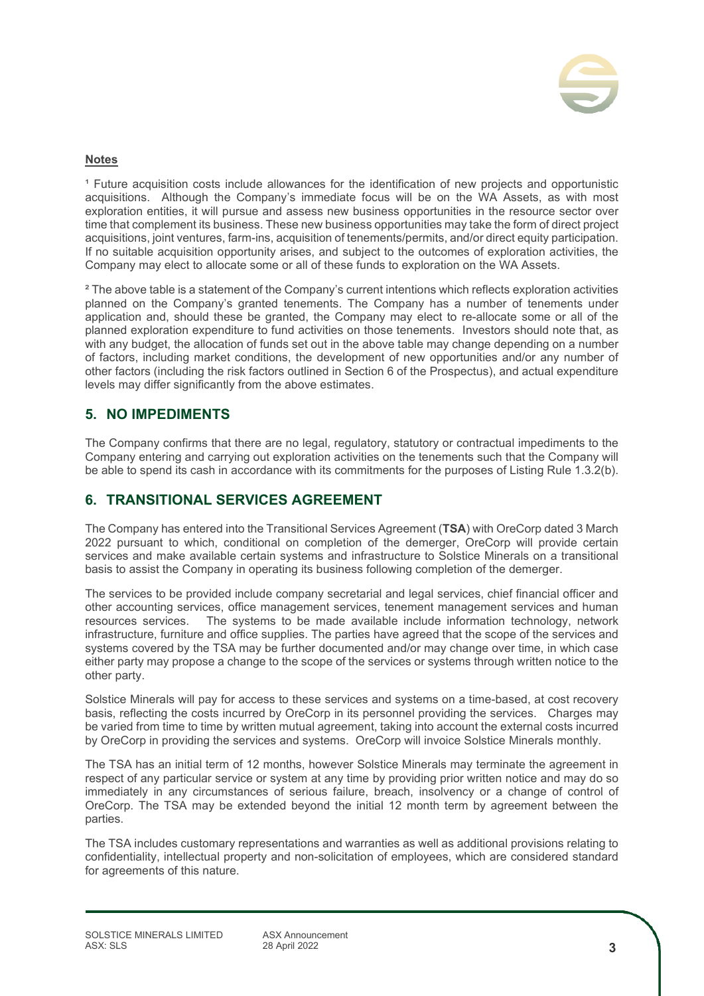

#### **Notes**

<sup>1</sup> Future acquisition costs include allowances for the identification of new projects and opportunistic acquisitions. Although the Company's immediate focus will be on the WA Assets, as with most exploration entities, it will pursue and assess new business opportunities in the resource sector over time that complement its business. These new business opportunities may take the form of direct project acquisitions, joint ventures, farm-ins, acquisition of tenements/permits, and/or direct equity participation. If no suitable acquisition opportunity arises, and subject to the outcomes of exploration activities, the Company may elect to allocate some or all of these funds to exploration on the WA Assets.

² The above table is a statement of the Company's current intentions which reflects exploration activities planned on the Company's granted tenements. The Company has a number of tenements under application and, should these be granted, the Company may elect to re-allocate some or all of the planned exploration expenditure to fund activities on those tenements. Investors should note that, as with any budget, the allocation of funds set out in the above table may change depending on a number of factors, including market conditions, the development of new opportunities and/or any number of other factors (including the risk factors outlined in Section 6 of the Prospectus), and actual expenditure levels may differ significantly from the above estimates.

## **5. NO IMPEDIMENTS**

The Company confirms that there are no legal, regulatory, statutory or contractual impediments to the Company entering and carrying out exploration activities on the tenements such that the Company will be able to spend its cash in accordance with its commitments for the purposes of Listing Rule 1.3.2(b).

## **6. TRANSITIONAL SERVICES AGREEMENT**

The Company has entered into the Transitional Services Agreement (**TSA**) with OreCorp dated 3 March 2022 pursuant to which, conditional on completion of the demerger, OreCorp will provide certain services and make available certain systems and infrastructure to Solstice Minerals on a transitional basis to assist the Company in operating its business following completion of the demerger.

The services to be provided include company secretarial and legal services, chief financial officer and other accounting services, office management services, tenement management services and human resources services. The systems to be made available include information technology, network infrastructure, furniture and office supplies. The parties have agreed that the scope of the services and systems covered by the TSA may be further documented and/or may change over time, in which case either party may propose a change to the scope of the services or systems through written notice to the other party.

Solstice Minerals will pay for access to these services and systems on a time-based, at cost recovery basis, reflecting the costs incurred by OreCorp in its personnel providing the services. Charges may be varied from time to time by written mutual agreement, taking into account the external costs incurred by OreCorp in providing the services and systems. OreCorp will invoice Solstice Minerals monthly.

The TSA has an initial term of 12 months, however Solstice Minerals may terminate the agreement in respect of any particular service or system at any time by providing prior written notice and may do so immediately in any circumstances of serious failure, breach, insolvency or a change of control of OreCorp. The TSA may be extended beyond the initial 12 month term by agreement between the parties.

The TSA includes customary representations and warranties as well as additional provisions relating to confidentiality, intellectual property and non-solicitation of employees, which are considered standard for agreements of this nature.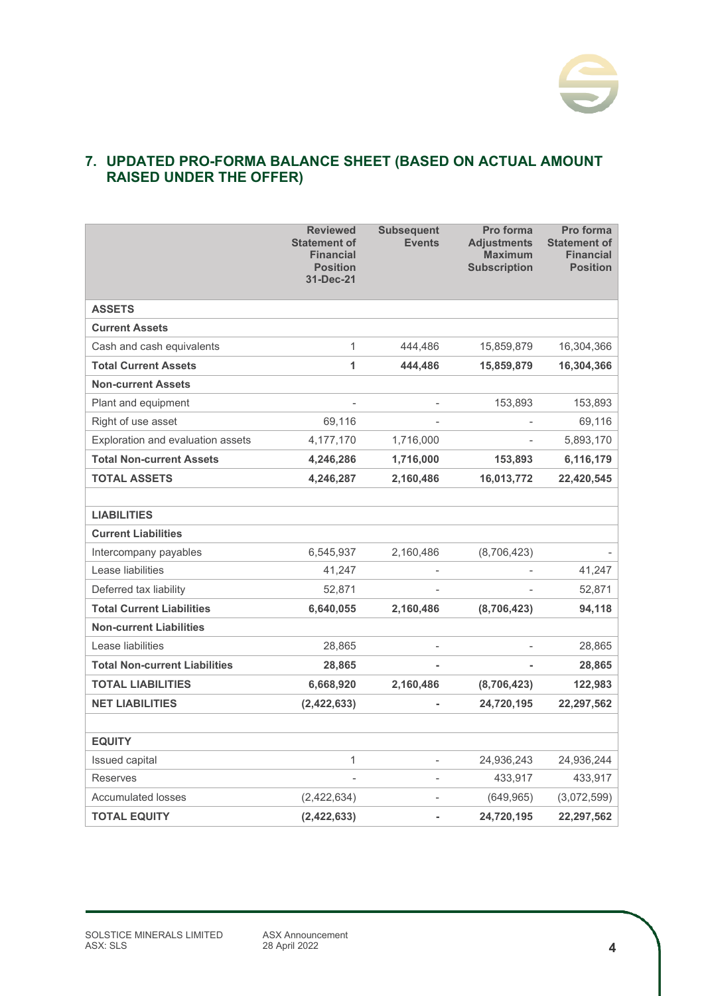

# **7. UPDATED PRO-FORMA BALANCE SHEET (BASED ON ACTUAL AMOUNT RAISED UNDER THE OFFER)**

|                                      | <b>Reviewed</b><br><b>Statement of</b><br><b>Financial</b><br><b>Position</b><br>31-Dec-21 | <b>Subsequent</b><br><b>Events</b> | Pro forma<br><b>Adjustments</b><br><b>Maximum</b><br><b>Subscription</b> | Pro forma<br><b>Statement of</b><br><b>Financial</b><br><b>Position</b> |
|--------------------------------------|--------------------------------------------------------------------------------------------|------------------------------------|--------------------------------------------------------------------------|-------------------------------------------------------------------------|
| <b>ASSETS</b>                        |                                                                                            |                                    |                                                                          |                                                                         |
| <b>Current Assets</b>                |                                                                                            |                                    |                                                                          |                                                                         |
| Cash and cash equivalents            | 1                                                                                          | 444,486                            | 15,859,879                                                               | 16,304,366                                                              |
| <b>Total Current Assets</b>          | 1                                                                                          | 444,486                            | 15,859,879                                                               | 16,304,366                                                              |
| <b>Non-current Assets</b>            |                                                                                            |                                    |                                                                          |                                                                         |
| Plant and equipment                  |                                                                                            |                                    | 153,893                                                                  | 153,893                                                                 |
| Right of use asset                   | 69,116                                                                                     |                                    |                                                                          | 69,116                                                                  |
| Exploration and evaluation assets    | 4,177,170                                                                                  | 1,716,000                          |                                                                          | 5,893,170                                                               |
| <b>Total Non-current Assets</b>      | 4,246,286                                                                                  | 1,716,000                          | 153,893                                                                  | 6,116,179                                                               |
| <b>TOTAL ASSETS</b>                  | 4,246,287                                                                                  | 2,160,486                          | 16,013,772                                                               | 22,420,545                                                              |
|                                      |                                                                                            |                                    |                                                                          |                                                                         |
| <b>LIABILITIES</b>                   |                                                                                            |                                    |                                                                          |                                                                         |
| <b>Current Liabilities</b>           |                                                                                            |                                    |                                                                          |                                                                         |
| Intercompany payables                | 6,545,937                                                                                  | 2,160,486                          | (8,706,423)                                                              |                                                                         |
| Lease liabilities                    | 41,247                                                                                     |                                    |                                                                          | 41,247                                                                  |
| Deferred tax liability               | 52,871                                                                                     |                                    |                                                                          | 52,871                                                                  |
| <b>Total Current Liabilities</b>     | 6,640,055                                                                                  | 2,160,486                          | (8,706,423)                                                              | 94,118                                                                  |
| <b>Non-current Liabilities</b>       |                                                                                            |                                    |                                                                          |                                                                         |
| Lease liabilities                    | 28,865                                                                                     |                                    |                                                                          | 28,865                                                                  |
| <b>Total Non-current Liabilities</b> | 28,865                                                                                     |                                    |                                                                          | 28,865                                                                  |
| <b>TOTAL LIABILITIES</b>             | 6,668,920                                                                                  | 2,160,486                          | (8,706,423)                                                              | 122,983                                                                 |
| <b>NET LIABILITIES</b>               | (2,422,633)                                                                                |                                    | 24,720,195                                                               | 22,297,562                                                              |
|                                      |                                                                                            |                                    |                                                                          |                                                                         |
| <b>EQUITY</b>                        |                                                                                            |                                    |                                                                          |                                                                         |
| Issued capital                       | 1                                                                                          |                                    | 24,936,243                                                               | 24,936,244                                                              |
| <b>Reserves</b>                      |                                                                                            | $\qquad \qquad -$                  | 433,917                                                                  | 433,917                                                                 |
| <b>Accumulated losses</b>            | (2,422,634)                                                                                |                                    | (649, 965)                                                               | (3,072,599)                                                             |
| <b>TOTAL EQUITY</b>                  | (2, 422, 633)                                                                              |                                    | 24,720,195                                                               | 22,297,562                                                              |